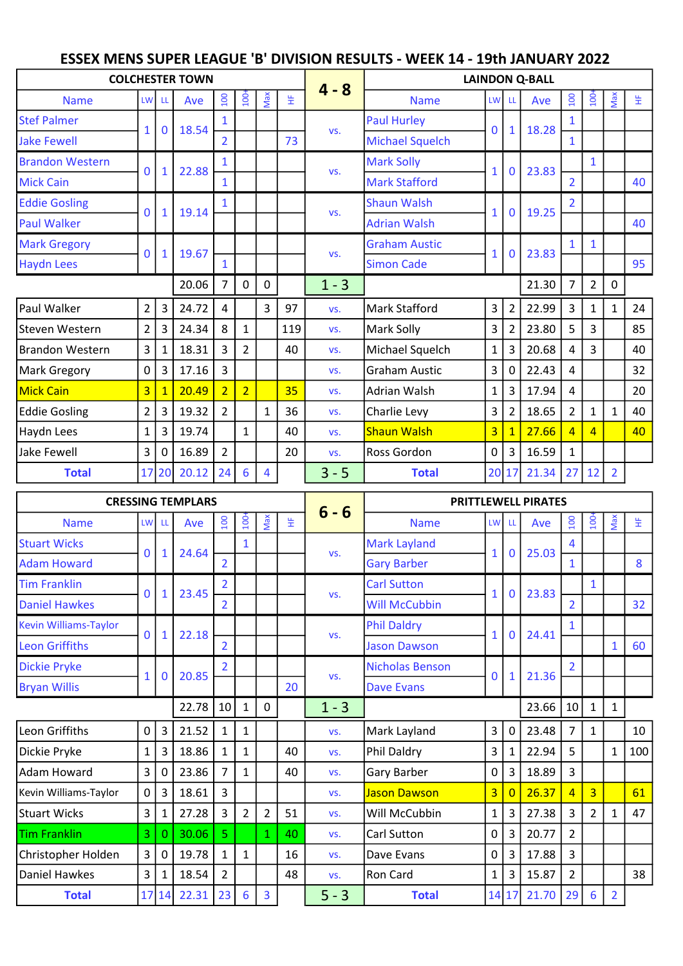## ESSEX MENS SUPER LEAGUE 'B' DIVISION RESULTS - WEEK 14 - 19th JANUARY 2022

|                        |                         |              | <b>COLCHESTER TOWN</b> |                |                  |                |     |         |                        |                |                | <b>LAINDON Q-BALL</b> |                |                |                |    |
|------------------------|-------------------------|--------------|------------------------|----------------|------------------|----------------|-----|---------|------------------------|----------------|----------------|-----------------------|----------------|----------------|----------------|----|
| <b>Name</b>            | <b>LW</b>               | LL.          | Ave                    | 100            | 100 <sup>2</sup> | Max            | 뚶   | $4 - 8$ | <b>Name</b>            | LW LL          |                | Ave                   | 100            | $\frac{6}{2}$  | Max            | 뚶  |
| <b>Stef Palmer</b>     | $\mathbf{1}$            |              | 18.54                  |                |                  |                |     |         | Paul Hurley            | $\Omega$       |                | 18.28                 |                |                |                |    |
| <b>Jake Fewell</b>     |                         | $\bf{0}$     |                        | $\overline{2}$ |                  |                | 73  | VS.     | <b>Michael Squelch</b> |                | $\mathbf{1}$   |                       | $\mathbf{1}$   |                |                |    |
| <b>Brandon Western</b> | $\overline{0}$          | $\mathbf{1}$ | 22.88                  |                |                  |                |     | VS.     | <b>Mark Solly</b>      | $\mathbf{1}$   | $\mathbf{0}$   | 23.83                 |                | $\mathbf{1}$   |                |    |
| <b>Mick Cain</b>       |                         |              |                        | 1              |                  |                |     |         | <b>Mark Stafford</b>   |                |                |                       | $\overline{2}$ |                |                | 40 |
| <b>Eddie Gosling</b>   | $\mathbf 0$             | $\mathbf{1}$ | 19.14                  | 1              |                  |                |     | VS.     | <b>Shaun Walsh</b>     | $\mathbf{1}$   | $\mathbf{0}$   | 19.25                 | $\overline{2}$ |                |                |    |
| <b>Paul Walker</b>     |                         |              |                        |                |                  |                |     |         | <b>Adrian Walsh</b>    |                |                |                       |                |                |                | 40 |
| <b>Mark Gregory</b>    | $\mathbf{0}$            | $\mathbf{1}$ | 19.67                  |                |                  |                |     | VS.     | <b>Graham Austic</b>   | $\mathbf{1}$   | $\mathbf 0$    | 23.83                 |                | $\mathbf{1}$   |                |    |
| <b>Haydn Lees</b>      |                         |              |                        | 1              |                  |                |     |         | <b>Simon Cade</b>      |                |                |                       |                |                |                | 95 |
|                        |                         |              | 20.06                  | $\overline{7}$ | 0                | $\mathbf 0$    |     | $1 - 3$ |                        |                |                | 21.30                 | $\overline{7}$ | $\overline{2}$ | $\mathbf 0$    |    |
| Paul Walker            | $2^{\circ}$             | 3            | 24.72                  | 4              |                  | 3              | 97  | VS.     | Mark Stafford          | $\overline{3}$ | $\overline{2}$ | 22.99                 | $\mathbf{3}$   | $\mathbf{1}$   | $\mathbf{1}$   | 24 |
| Steven Western         | $\overline{2}$          | 3            | 24.34                  | 8              | $\mathbf{1}$     |                | 119 | VS.     | Mark Solly             | 3              | $\overline{2}$ | 23.80                 | 5              | 3              |                | 85 |
| Brandon Western        | $\overline{\mathbf{3}}$ | 1            | 18.31                  | 3              | $\overline{2}$   |                | 40  | VS.     | Michael Squelch        | 1              | 3              | 20.68                 | 4              | 3              |                | 40 |
| Mark Gregory           | $\mathbf 0$             | 3            | 17.16                  | 3              |                  |                |     | VS.     | <b>Graham Austic</b>   | 3              | 0              | 22.43                 | 4              |                |                | 32 |
| <b>Mick Cain</b>       | $\overline{3}$          |              | 20.49                  | $\overline{2}$ | $\overline{2}$   |                | 35  | VS.     | Adrian Walsh           | $\mathbf{1}$   | 3              | 17.94                 | 4              |                |                | 20 |
| <b>Eddie Gosling</b>   | $\overline{2}$          | 3            | 19.32                  | $\overline{2}$ |                  | $\mathbf{1}$   | 36  | VS.     | Charlie Levy           | 3              | $\overline{2}$ | 18.65                 | $\overline{2}$ | $\mathbf{1}$   | $\mathbf{1}$   | 40 |
| Haydn Lees             | $\mathbf{1}$            | 3            | 19.74                  |                | $\mathbf{1}$     |                | 40  | VS.     | <b>Shaun Walsh</b>     | $\overline{3}$ | $\overline{1}$ | 27.66                 | $\overline{4}$ | $\overline{4}$ |                | 40 |
| Jake Fewell            | 3                       | 0            | 16.89                  | $\overline{2}$ |                  |                | 20  | VS.     | Ross Gordon            | 0              | 3              | 16.59                 | $\mathbf{1}$   |                |                |    |
| <b>Total</b>           |                         | 17 20        | 20.12                  | 24             | 6                | $\overline{4}$ |     | $3 - 5$ | <b>Total</b>           |                | 20 17          | 21.34                 | 27             | 12             | $\overline{2}$ |    |

|                              |                |                | <b>CRESSING TEMPLARS</b> |                 |                  |                |    |         |                        |                |                | <b>PRITTLEWELL PIRATES</b> |                                                                                                                          |                |                |     |
|------------------------------|----------------|----------------|--------------------------|-----------------|------------------|----------------|----|---------|------------------------|----------------|----------------|----------------------------|--------------------------------------------------------------------------------------------------------------------------|----------------|----------------|-----|
| <b>Name</b>                  | <b>LW</b>      | LL.            | Ave                      | $\overline{5}$  | $\overline{100}$ | Max            | 뚶  | $6 - 6$ | <b>Name</b>            | LW LL          |                | Ave                        | $\overline{100}$                                                                                                         | $\overline{5}$ | Max            | 뚶   |
| <b>Stuart Wicks</b>          | 0              | $\mathbf{1}$   | 24.64                    |                 | $\mathbf{1}$     |                |    | VS.     | <b>Mark Layland</b>    |                | $\mathbf{0}$   | 25.03                      | 4                                                                                                                        |                |                |     |
| <b>Adam Howard</b>           |                |                |                          | $\overline{2}$  |                  |                |    |         | <b>Gary Barber</b>     |                |                |                            | $\mathbf{1}$                                                                                                             |                |                | 8   |
| <b>Tim Franklin</b>          | $\mathbf{0}$   | $\mathbf{1}$   | 23.45                    | $\overline{2}$  |                  |                |    | VS.     | <b>Carl Sutton</b>     |                | $\bf{0}$       | 23.83                      |                                                                                                                          | $\mathbf{1}$   |                |     |
| <b>Daniel Hawkes</b>         |                |                |                          | $\overline{2}$  |                  |                |    |         | <b>Will McCubbin</b>   |                |                |                            | $\overline{2}$                                                                                                           |                |                | 32  |
| <b>Kevin Williams-Taylor</b> | $\mathbf 0$    | $\mathbf{1}$   | 22.18                    |                 |                  |                |    | VS.     | <b>Phil Daldry</b>     |                | $\mathbf{0}$   | 24.41                      | $\mathbf{1}$                                                                                                             |                |                |     |
| <b>Leon Griffiths</b>        |                |                |                          | $\overline{2}$  |                  |                |    |         | <b>Jason Dawson</b>    |                |                |                            | $\overline{2}$<br>10<br>$\overline{7}$<br>5<br>$\overline{3}$<br>$\overline{4}$<br>3<br>$\overline{2}$<br>$\overline{3}$ |                | $\mathbf{1}$   | 60  |
| <b>Dickie Pryke</b>          | $\mathbf{1}$   | 0              | 20.85                    |                 |                  |                |    | VS.     | <b>Nicholas Benson</b> | $\Omega$       | $\mathbf{1}$   | 21.36                      |                                                                                                                          |                |                |     |
| <b>Bryan Willis</b>          |                |                |                          |                 |                  |                | 20 |         | <b>Dave Evans</b>      |                |                |                            |                                                                                                                          |                |                |     |
|                              |                |                | 22.78                    | 10 <sup>1</sup> | 1                | 0              |    | $1 - 3$ |                        |                |                | 23.66                      |                                                                                                                          | $\mathbf{1}$   | $\mathbf{1}$   |     |
| Leon Griffiths               | 0              | $\mathbf{3}$   | 21.52                    | 1               | $\mathbf{1}$     |                |    | VS.     | Mark Layland           | $\mathbf{3}$   | 0              | 23.48                      |                                                                                                                          | $\mathbf{1}$   |                | 10  |
| Dickie Pryke                 | $\mathbf{1}$   | $\mathbf{3}$   | 18.86                    | 1               | $\mathbf{1}$     |                | 40 | VS.     | Phil Daldry            | 3              | $\mathbf{1}$   | 22.94                      |                                                                                                                          |                | $\mathbf{1}$   | 100 |
| Adam Howard                  | 3              | 0              | 23.86                    | $\overline{7}$  | $\mathbf{1}$     |                | 40 | VS.     | Gary Barber            | 0              | 3              | 18.89                      |                                                                                                                          |                |                |     |
| Kevin Williams-Taylor        | $\mathbf 0$    | 3 <sup>1</sup> | 18.61                    | 3               |                  |                |    | VS.     | Jason Dawson           | $\overline{3}$ | $\overline{0}$ | 26.37                      |                                                                                                                          | $\overline{3}$ |                | 61  |
| <b>Stuart Wicks</b>          | $\overline{3}$ | 1              | 27.28                    | 3               | $\overline{2}$   | $\overline{2}$ | 51 | VS.     | Will McCubbin          | 1              | 3              | 27.38                      |                                                                                                                          | $\overline{2}$ | $\mathbf{1}$   | 47  |
| <b>Tim Franklin</b>          | 3              | $\mathbf{0}$   | 30.06                    | 5               |                  | 1              | 40 | VS.     | Carl Sutton            | 0              | 3              | 20.77                      |                                                                                                                          |                |                |     |
| Christopher Holden           | 3              | $\overline{0}$ | 19.78                    | 1               | $\mathbf{1}$     |                | 16 | VS.     | Dave Evans             | 0              | 3              | 17.88                      |                                                                                                                          |                |                |     |
| Daniel Hawkes                | 3              | 1 <sup>1</sup> | 18.54                    | $\overline{2}$  |                  |                | 48 | VS.     | Ron Card               | 1              | 3              | 15.87                      | $\overline{2}$                                                                                                           |                |                | 38  |
| <b>Total</b>                 |                | 17 14          | 22.31                    | 23              | 6                | 3              |    | $5 - 3$ | <b>Total</b>           |                | 14 17          | 21.70                      | 29                                                                                                                       | 6              | $\overline{2}$ |     |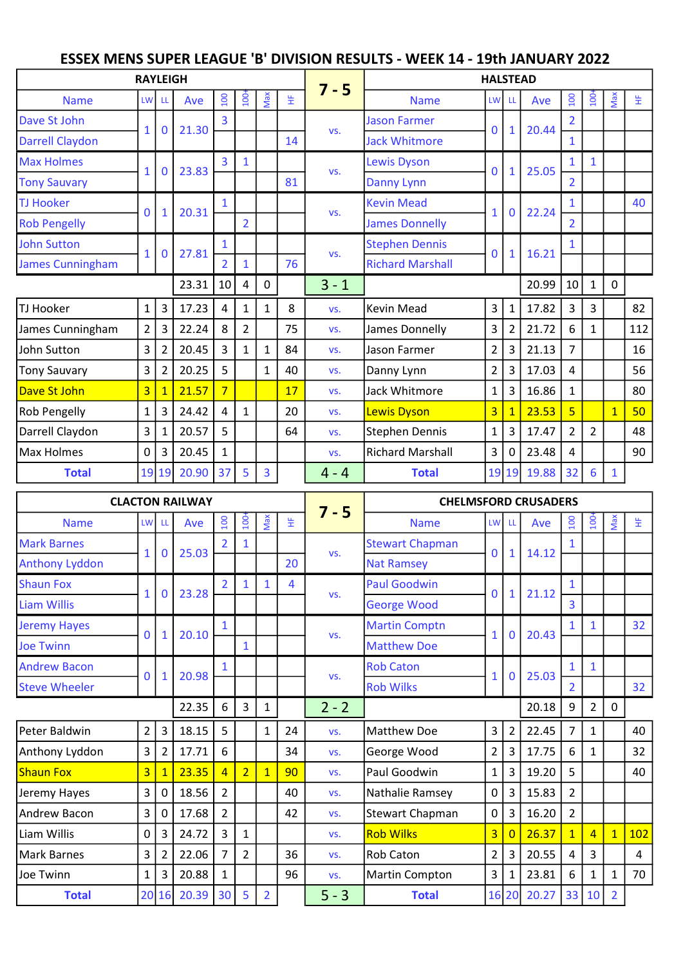## ESSEX MENS SUPER LEAGUE 'B' DIVISION RESULTS - WEEK 14 - 19th JANUARY 2022

|                         | <b>RAYLEIGH</b> |                |       |                |                  |                         |    |         |                         | <b>HALSTEAD</b> |                |       |                |                |              |     |
|-------------------------|-----------------|----------------|-------|----------------|------------------|-------------------------|----|---------|-------------------------|-----------------|----------------|-------|----------------|----------------|--------------|-----|
| <b>Name</b>             | <b>LW</b>       | -LL            | Ave   | $100\,$        | $\overline{100}$ | Max                     | 뚶  | $7 - 5$ | <b>Name</b>             | LW LL           |                | Ave   | 100            | 100            | Max          | 뚶   |
| Dave St John            | $\mathbf{1}$    | $\mathbf 0$    | 21.30 | 3              |                  |                         |    | VS.     | <b>Jason Farmer</b>     | $\mathbf 0$     | $\mathbf{1}$   | 20.44 | $\overline{2}$ |                |              |     |
| Darrell Claydon         |                 |                |       |                |                  |                         | 14 |         | <b>Jack Whitmore</b>    |                 |                |       | $\mathbf{1}$   |                |              |     |
| <b>Max Holmes</b>       | $\mathbf{1}$    | $\bf{0}$       | 23.83 | $\overline{3}$ | $\mathbf{1}$     |                         |    | VS.     | <b>Lewis Dyson</b>      | $\mathbf{0}$    | $\mathbf{1}$   | 25.05 | 1              | $\mathbf{1}$   |              |     |
| <b>Tony Sauvary</b>     |                 |                |       |                |                  |                         | 81 |         | Danny Lynn              |                 |                |       | $\overline{2}$ |                |              |     |
| <b>TJ Hooker</b>        | $\mathbf{0}$    | 1              | 20.31 |                |                  |                         |    | VS.     | <b>Kevin Mead</b>       | $\mathbf{1}$    | $\Omega$       | 22.24 |                |                |              | 40  |
| <b>Rob Pengelly</b>     |                 |                |       |                | $\overline{2}$   |                         |    |         | <b>James Donnelly</b>   |                 |                |       | $\overline{2}$ |                |              |     |
| <b>John Sutton</b>      | $\mathbf{1}$    | $\mathbf 0$    | 27.81 | $\mathbf{1}$   |                  |                         |    | VS.     | <b>Stephen Dennis</b>   | $\mathbf 0$     | $\mathbf{1}$   | 16.21 | $\mathbf{1}$   |                |              |     |
| <b>James Cunningham</b> |                 |                |       | $\overline{2}$ | 1                |                         | 76 |         | <b>Richard Marshall</b> |                 |                |       |                |                |              |     |
|                         |                 |                | 23.31 | 10             | 4                | 0                       |    | $3 - 1$ |                         |                 |                | 20.99 | $10\,$         | $\mathbf{1}$   | 0            |     |
| TJ Hooker               | $\mathbf{1}$    | 3              | 17.23 | 4              | 1                | 1                       | 8  | VS.     | Kevin Mead              | 3               | $\mathbf{1}$   | 17.82 | 3              | 3              |              | 82  |
| James Cunningham        | $\overline{2}$  | 3              | 22.24 | 8              | $\overline{2}$   |                         | 75 | VS.     | James Donnelly          | 3               | $\overline{2}$ | 21.72 | 6              | $\mathbf{1}$   |              | 112 |
| John Sutton             | $\overline{3}$  | $\overline{2}$ | 20.45 | $\overline{3}$ | 1                | $\mathbf 1$             | 84 | VS.     | Jason Farmer            | $\overline{2}$  | 3              | 21.13 | $\overline{7}$ |                |              | 16  |
| Tony Sauvary            | $\overline{3}$  | $\overline{2}$ | 20.25 | 5              |                  | $\mathbf{1}$            | 40 | VS.     | Danny Lynn              | $\overline{2}$  | 3              | 17.03 | 4              |                |              | 56  |
| Dave St John            | $\overline{3}$  |                | 21.57 | $\overline{7}$ |                  |                         | 17 | VS.     | Jack Whitmore           | $\mathbf{1}$    | 3              | 16.86 | $\mathbf{1}$   |                |              | 80  |
| Rob Pengelly            | $\mathbf 1$     | 3              | 24.42 | 4              | $\mathbf{1}$     |                         | 20 | VS.     | Lewis Dyson             | $\overline{3}$  | $\mathbf{1}$   | 23.53 | $\overline{5}$ |                | $\mathbf{1}$ | 50  |
| Darrell Claydon         | $\overline{3}$  | 1              | 20.57 | 5              |                  |                         | 64 | VS.     | <b>Stephen Dennis</b>   | $\mathbf{1}$    | 3              | 17.47 | $\overline{2}$ | $\overline{2}$ |              | 48  |
| Max Holmes              | 0               | 3              | 20.45 | $\mathbf{1}$   |                  |                         |    | VS.     | <b>Richard Marshall</b> | 3               | $\Omega$       | 23.48 | 4              |                |              | 90  |
| <b>Total</b>            |                 | 19 19          | 20.90 | 37             | 5                | $\overline{\mathbf{3}}$ |    | $4 - 4$ | <b>Total</b>            |                 | 19 19          | 19.88 | 32             | 6              | $\mathbf{1}$ |     |

|                       |                |                | <b>CLACTON RAILWAY</b> |                |                |                |    |         | <b>CHELMSFORD CRUSADERS</b> |                |                |       |                |                                                                                                                       |                |     |
|-----------------------|----------------|----------------|------------------------|----------------|----------------|----------------|----|---------|-----------------------------|----------------|----------------|-------|----------------|-----------------------------------------------------------------------------------------------------------------------|----------------|-----|
| <b>Name</b>           | <b>LW</b>      | -LL            | Ave                    | 001            | $\overline{5}$ | Max            | 뚶  | $7 - 5$ | <b>Name</b>                 | LW LL          |                | Ave   | $\overline{5}$ | $\overline{5}$                                                                                                        | Max            | 뚶   |
| <b>Mark Barnes</b>    | $\mathbf{1}$   | $\mathbf{0}$   | 25.03                  |                |                |                |    | VS.     | <b>Stewart Chapman</b>      | $\mathbf 0$    | $\mathbf{1}$   | 14.12 |                |                                                                                                                       |                |     |
| <b>Anthony Lyddon</b> |                |                |                        |                |                |                | 20 |         | <b>Nat Ramsey</b>           |                |                |       |                |                                                                                                                       |                |     |
| <b>Shaun Fox</b>      | $\mathbf{1}$   | $\mathbf{0}$   | 23.28                  | $\overline{2}$ | 1              | $\mathbf 1$    | 4  | VS.     | <b>Paul Goodwin</b>         | $\mathbf{0}$   | 1              | 21.12 | $\mathbf{1}$   |                                                                                                                       |                |     |
| <b>Liam Willis</b>    |                |                |                        |                |                |                |    |         | <b>George Wood</b>          |                |                |       | $\overline{3}$ | $\mathbf{1}$<br>$\mathbf{1}$<br>$\overline{2}$<br>$\mathbf{1}$<br>$\mathbf{1}$<br>$\overline{4}$<br>3<br>$\mathbf{1}$ |                |     |
| <b>Jeremy Hayes</b>   | 0              |                | 20.10                  |                |                |                |    | VS.     | <b>Martin Comptn</b>        | $\mathbf{1}$   | $\bf{0}$       | 20.43 | $\mathbf{1}$   |                                                                                                                       |                | 32  |
| <b>Joe Twinn</b>      |                |                |                        |                | 1              |                |    |         | <b>Matthew Doe</b>          |                |                |       |                |                                                                                                                       |                |     |
| <b>Andrew Bacon</b>   | $\Omega$       | 1              | 20.98                  |                |                |                |    | VS.     | <b>Rob Caton</b>            | $\mathbf{1}$   | $\mathbf{0}$   | 25.03 | $\mathbf{1}$   |                                                                                                                       |                |     |
| <b>Steve Wheeler</b>  |                |                |                        |                |                |                |    |         | <b>Rob Wilks</b>            |                |                |       | $\overline{2}$ |                                                                                                                       | $\mathbf 0$    | 32  |
|                       |                |                | 22.35                  | 6              | 3              | 1              |    | $2 - 2$ |                             |                |                | 20.18 | 9              |                                                                                                                       |                |     |
| Peter Baldwin         | $\overline{2}$ | 3              | 18.15                  | 5              |                | 1              | 24 | VS.     | Matthew Doe                 | $\overline{3}$ | $\overline{2}$ | 22.45 | $\overline{7}$ |                                                                                                                       |                | 40  |
| Anthony Lyddon        | 3              | $\overline{2}$ | 17.71                  | 6              |                |                | 34 | VS.     | George Wood                 | $\overline{2}$ | 3              | 17.75 | 6              |                                                                                                                       |                | 32  |
| <b>Shaun Fox</b>      | $\overline{3}$ |                | 23.35                  | $\overline{4}$ | $\overline{2}$ | $\overline{1}$ | 90 | VS.     | Paul Goodwin                | $\mathbf{1}$   | 3              | 19.20 | 5              |                                                                                                                       |                | 40  |
| Jeremy Hayes          | 3              | 0              | 18.56                  | $\overline{2}$ |                |                | 40 | VS.     | Nathalie Ramsey             | 0              | 3              | 15.83 | $\overline{2}$ |                                                                                                                       |                |     |
| Andrew Bacon          | 3              | 0              | 17.68                  | $\overline{2}$ |                |                | 42 | VS.     | Stewart Chapman             | $\overline{0}$ | 3              | 16.20 | $\overline{2}$ |                                                                                                                       |                |     |
| Liam Willis           | 0              | 3              | 24.72                  | $\overline{3}$ | $\mathbf{1}$   |                |    | VS.     | <b>Rob Wilks</b>            | $\overline{3}$ | $\overline{0}$ | 26.37 | $\overline{1}$ |                                                                                                                       | $\overline{1}$ | 102 |
| Mark Barnes           | 3              | $\overline{2}$ | 22.06                  | $\overline{7}$ | $\overline{2}$ |                | 36 | VS.     | <b>Rob Caton</b>            | $\overline{2}$ | 3              | 20.55 | 4              |                                                                                                                       |                | 4   |
| Joe Twinn             | $\mathbf{1}$   | 3              | 20.88                  | $\mathbf{1}$   |                |                | 96 | VS.     | Martin Compton              | 3              | $\mathbf 1$    | 23.81 | 6              |                                                                                                                       | $\mathbf{1}$   | 70  |
| <b>Total</b>          |                | 20 16          | 20.39                  | 30             | 5              | $\overline{2}$ |    | $5 - 3$ | <b>Total</b>                |                | 16 20          | 20.27 | 33             | 10                                                                                                                    | $\overline{2}$ |     |